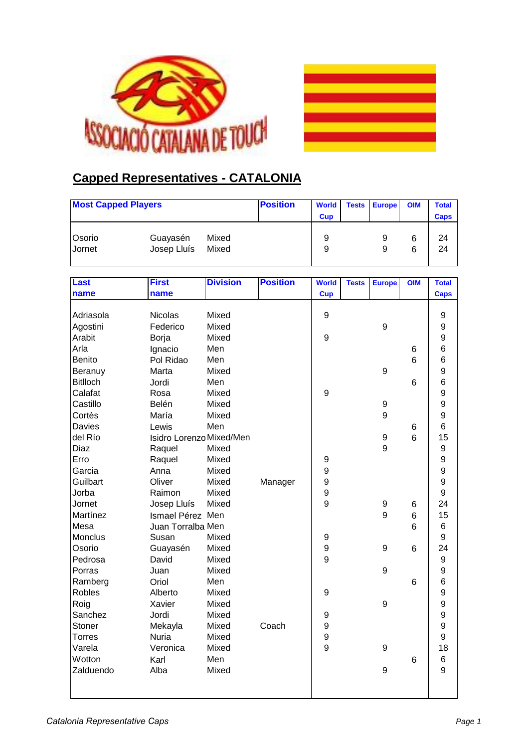



## **Capped Representatives - CATALONIA**

| <b>Most Capped Players</b> |                         | <b>Position</b> | <b>World</b><br><b>Cup</b> | <b>Tests Europe</b> | <b>OIM</b> | Total<br><b>Caps</b> |          |
|----------------------------|-------------------------|-----------------|----------------------------|---------------------|------------|----------------------|----------|
| Osorio<br>Jornet           | Guayasén<br>Josep Lluís | Mixed<br>Mixed  |                            | 9<br>9              |            | 6<br>6               | 24<br>24 |

| <b>Last</b>     | <b>First</b>             | <b>Division</b> | <b>Position</b> | <b>World</b>     | <b>Tests</b> | <b>Europe</b>    | <b>OIM</b> | <b>Total</b>     |
|-----------------|--------------------------|-----------------|-----------------|------------------|--------------|------------------|------------|------------------|
| name            | name                     |                 |                 | <b>Cup</b>       |              |                  |            | <b>Caps</b>      |
|                 |                          |                 |                 |                  |              |                  |            |                  |
| Adriasola       | Nicolas                  | Mixed           |                 | 9                |              |                  |            | 9                |
| Agostini        | Federico                 | Mixed           |                 |                  |              | $\boldsymbol{9}$ |            | $\mathsf g$      |
| Arabit          | Borja                    | Mixed           |                 | $\boldsymbol{9}$ |              |                  |            | $\mathsf g$      |
| Arla            | Ignacio                  | Men             |                 |                  |              |                  | 6          | 6                |
| Benito          | Pol Ridao                | Men             |                 |                  |              |                  | 6          | 6                |
| Beranuy         | Marta                    | Mixed           |                 |                  |              | 9                |            | $\mathsf g$      |
| <b>Bitlloch</b> | Jordi                    | Men             |                 |                  |              |                  | 6          | $\,6$            |
| Calafat         | Rosa                     | Mixed           |                 | 9                |              |                  |            | $\mathsf g$      |
| Castillo        | Belén                    | Mixed           |                 |                  |              | $\boldsymbol{9}$ |            | $\mathsf g$      |
| Cortès          | María                    | Mixed           |                 |                  |              | 9                |            | 9                |
| <b>Davies</b>   | Lewis                    | Men             |                 |                  |              |                  | 6          | 6                |
| del Río         | Isidro Lorenzo Mixed/Men |                 |                 |                  |              | $\boldsymbol{9}$ | 6          | 15               |
| Diaz            | Raquel                   | Mixed           |                 |                  |              | 9                |            | $\boldsymbol{9}$ |
| Erro            | Raquel                   | Mixed           |                 | 9                |              |                  |            | $\boldsymbol{9}$ |
| Garcia          | Anna                     | Mixed           |                 | 9                |              |                  |            | $\boldsymbol{9}$ |
| Guilbart        | Oliver                   | Mixed           | Manager         | 9                |              |                  |            | $\mathsf g$      |
| Jorba           | Raimon                   | Mixed           |                 | 9                |              |                  |            | 9                |
| Jornet          | Josep Lluís              | Mixed           |                 | 9                |              | $\boldsymbol{9}$ | 6          | 24               |
| Martínez        | Ismael Pérez Men         |                 |                 |                  |              | 9                | 6          | 15               |
| Mesa            | Juan Torralba Men        |                 |                 |                  |              |                  | 6          | 6                |
| Monclus         | Susan                    | Mixed           |                 | 9                |              |                  |            | 9                |
| Osorio          | Guayasén                 | Mixed           |                 | 9                |              | $\boldsymbol{9}$ | 6          | 24               |
| Pedrosa         | David                    | Mixed           |                 | 9                |              |                  |            | 9                |
| Porras          | Juan                     | Mixed           |                 |                  |              | $\boldsymbol{9}$ |            | $\boldsymbol{9}$ |
| Ramberg         | Oriol                    | Men             |                 |                  |              |                  | 6          | 6                |
| <b>Robles</b>   | Alberto                  | Mixed           |                 | $\boldsymbol{9}$ |              |                  |            | $\mathsf g$      |
| Roig            | Xavier                   | Mixed           |                 |                  |              | $\boldsymbol{9}$ |            | 9                |
| Sanchez         | Jordi                    | Mixed           |                 | $\boldsymbol{9}$ |              |                  |            | $\mathsf g$      |
| <b>Stoner</b>   | Mekayla                  | Mixed           | Coach           | 9                |              |                  |            | 9                |
| <b>Torres</b>   | <b>Nuria</b>             | Mixed           |                 | 9                |              |                  |            | 9                |
| Varela          | Veronica                 | Mixed           |                 | 9                |              | 9                |            | 18               |
| Wotton          | Karl                     | Men             |                 |                  |              |                  | 6          | $\,6$            |
| Zalduendo       | Alba                     | Mixed           |                 |                  |              | $\boldsymbol{9}$ |            | 9                |
|                 |                          |                 |                 |                  |              |                  |            |                  |
|                 |                          |                 |                 |                  |              |                  |            |                  |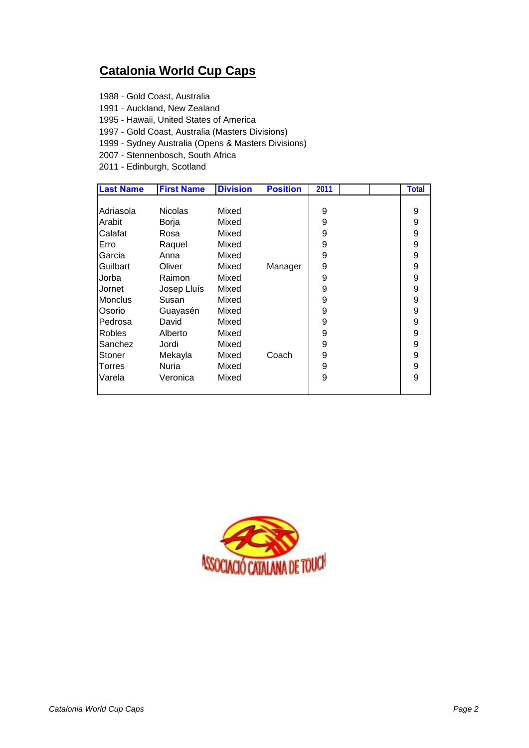## **Catalonia World Cup Caps**

- 1988 Gold Coast, Australia
- 1991 Auckland, New Zealand
- 1995 Hawaii, United States of America
- 1997 Gold Coast, Australia (Masters Divisions)
- 1999 Sydney Australia (Opens & Masters Divisions)
- 2007 Stennenbosch, South Africa
- 2011 Edinburgh, Scotland

| <b>Last Name</b> | <b>First Name</b> | <b>Division</b> | <b>Position</b> | 2011 |  | Total |
|------------------|-------------------|-----------------|-----------------|------|--|-------|
|                  |                   |                 |                 |      |  |       |
| Adriasola        | <b>Nicolas</b>    | Mixed           |                 | 9    |  | 9     |
| Arabit           | Borja             | Mixed           |                 | 9    |  | 9     |
| Calafat          | Rosa              | Mixed           |                 | 9    |  | 9     |
| Erro             | Raquel            | Mixed           |                 | 9    |  | 9     |
| Garcia           | Anna              | Mixed           |                 | 9    |  | 9     |
| Guilbart         | Oliver            | Mixed           | Manager         | 9    |  | 9     |
| Jorba            | Raimon            | Mixed           |                 | 9    |  | 9     |
| Jornet           | Josep Lluís       | Mixed           |                 | 9    |  | 9     |
| <b>Monclus</b>   | Susan             | Mixed           |                 | 9    |  | 9     |
| Osorio           | Guayasén          | Mixed           |                 | 9    |  | 9     |
| Pedrosa          | David             | Mixed           |                 | 9    |  | 9     |
| Robles           | Alberto           | Mixed           |                 | 9    |  | 9     |
| Sanchez          | Jordi             | Mixed           |                 | 9    |  | 9     |
| Stoner           | Mekayla           | Mixed           | Coach           | 9    |  | 9     |
| Torres           | Nuria             | Mixed           |                 | 9    |  | 9     |
| Varela           | Veronica          | Mixed           |                 | 9    |  | 9     |
|                  |                   |                 |                 |      |  |       |

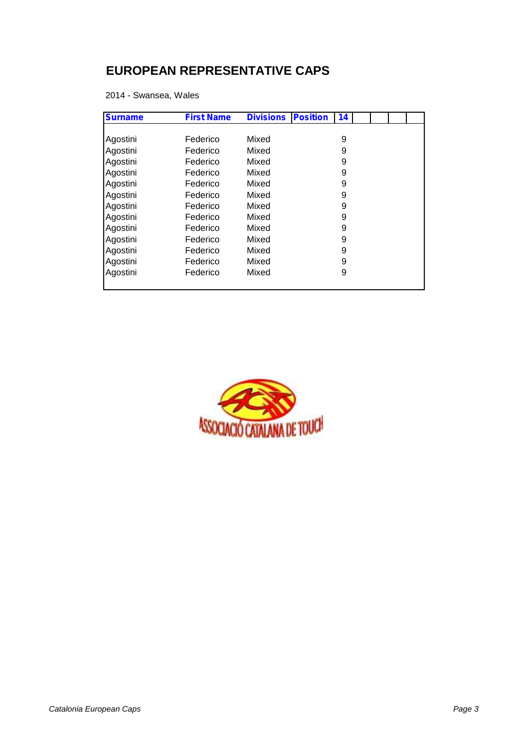## **EUROPEAN REPRESENTATIVE CAPS**

2014 - Swansea, Wales

| <b>Surname</b> | <b>First Name</b> | <b>Divisions</b> | <b>Position</b> | 14 |  |  |
|----------------|-------------------|------------------|-----------------|----|--|--|
|                |                   |                  |                 |    |  |  |
| Agostini       | Federico          | Mixed            |                 | 9  |  |  |
| Agostini       | Federico          | Mixed            |                 | 9  |  |  |
| Agostini       | Federico          | Mixed            |                 | 9  |  |  |
| Agostini       | Federico          | Mixed            |                 | 9  |  |  |
| Agostini       | Federico          | Mixed            |                 | 9  |  |  |
| Agostini       | Federico          | Mixed            |                 | 9  |  |  |
| Agostini       | Federico          | Mixed            |                 | 9  |  |  |
| Agostini       | Federico          | Mixed            |                 | 9  |  |  |
| Agostini       | Federico          | Mixed            |                 | 9  |  |  |
| Agostini       | Federico          | Mixed            |                 | 9  |  |  |
| Agostini       | Federico          | Mixed            |                 | 9  |  |  |
| Agostini       | Federico          | Mixed            |                 | 9  |  |  |
| Agostini       | Federico          | Mixed            |                 | 9  |  |  |
|                |                   |                  |                 |    |  |  |